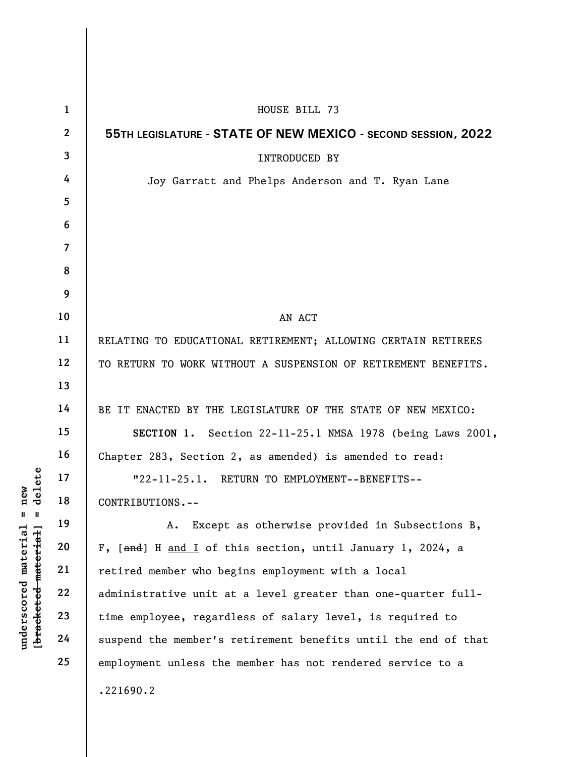|                            | $\mathbf{1}$            | HOUSE BILL 73                                                  |
|----------------------------|-------------------------|----------------------------------------------------------------|
|                            | $\mathbf{2}$            | 55TH LEGISLATURE - STATE OF NEW MEXICO - SECOND SESSION, 2022  |
|                            | $\overline{3}$          | INTRODUCED BY                                                  |
|                            | 4                       | Joy Garratt and Phelps Anderson and T. Ryan Lane               |
|                            | 5                       |                                                                |
|                            | 6                       |                                                                |
|                            | $\overline{\mathbf{z}}$ |                                                                |
|                            | 8                       |                                                                |
|                            | 9                       |                                                                |
|                            | 10                      | AN ACT                                                         |
|                            | 11                      | RELATING TO EDUCATIONAL RETIREMENT; ALLOWING CERTAIN RETIREES  |
|                            | 12                      | TO RETURN TO WORK WITHOUT A SUSPENSION OF RETIREMENT BENEFITS. |
|                            | 13                      |                                                                |
|                            | 14                      | BE IT ENACTED BY THE LEGISLATURE OF THE STATE OF NEW MEXICO:   |
|                            | 15                      | SECTION 1. Section 22-11-25.1 NMSA 1978 (being Laws 2001,      |
|                            | 16                      | Chapter 283, Section 2, as amended) is amended to read:        |
| delete                     | 17                      | "22-11-25.1. RETURN TO EMPLOYMENT--BENEFITS--                  |
| nev                        | 18                      | CONTRIBUTIONS.--                                               |
| Ш<br>Ш                     | 19                      | Except as otherwise provided in Subsections B,<br>Α.           |
| material                   | 20                      | F, [and] H and I of this section, until January 1, 2024, a     |
| material                   | 21                      | retired member who begins employment with a local              |
|                            | 22                      | administrative unit at a level greater than one-quarter full-  |
| $underscore$<br>[bracketed | 23                      | time employee, regardless of salary level, is required to      |
|                            | 24                      | suspend the member's retirement benefits until the end of that |
|                            | 25                      | employment unless the member has not rendered service to a     |
|                            |                         | .221690.2                                                      |
|                            |                         |                                                                |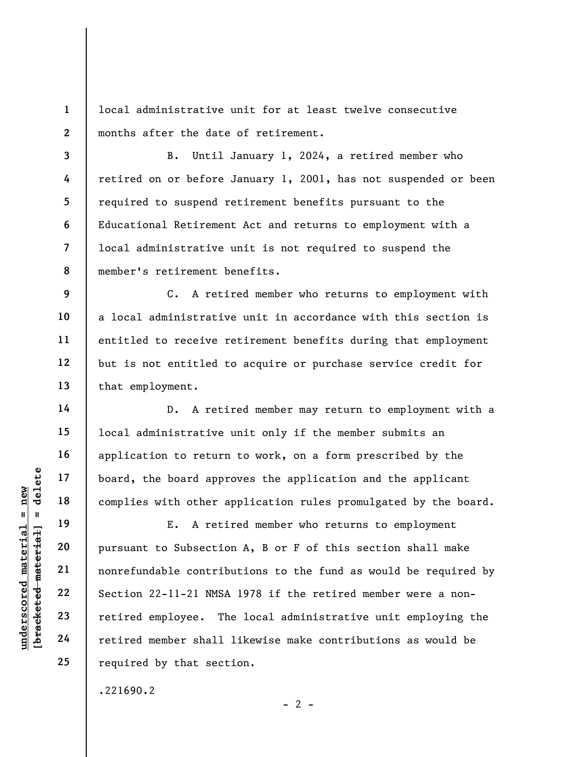1 2 local administrative unit for at least twelve consecutive months after the date of retirement.

3 4 5 6 7 8 B. Until January 1, 2024, a retired member who retired on or before January 1, 2001, has not suspended or been required to suspend retirement benefits pursuant to the Educational Retirement Act and returns to employment with a local administrative unit is not required to suspend the member's retirement benefits.

C. A retired member who returns to employment with a local administrative unit in accordance with this section is entitled to receive retirement benefits during that employment but is not entitled to acquire or purchase service credit for that employment.

D. A retired member may return to employment with a local administrative unit only if the member submits an application to return to work, on a form prescribed by the board, the board approves the application and the applicant complies with other application rules promulgated by the board.

understand material end of the board approximate to subsect to the result of the material pursuant to Subsection 22-11-21 NMSA retired employee. The retired member shall E. A retired member who returns to employment pursuant to Subsection A, B or F of this section shall make nonrefundable contributions to the fund as would be required by Section 22-11-21 NMSA 1978 if the retired member were a nonretired employee. The local administrative unit employing the retired member shall likewise make contributions as would be required by that section.

.221690.2

9

10

11

12

13

14

15

16

17

18

19

20

21

22

23

24

25

 $- 2 -$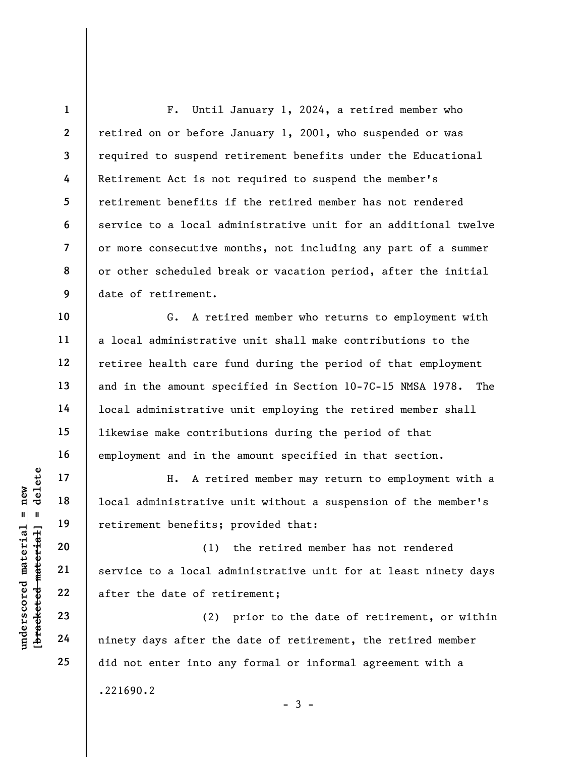1 2 3 4 5 6 7 8 9 10 11 12 F. Until January 1, 2024, a retired member who retired on or before January 1, 2001, who suspended or was required to suspend retirement benefits under the Educational Retirement Act is not required to suspend the member's retirement benefits if the retired member has not rendered service to a local administrative unit for an additional twelve or more consecutive months, not including any part of a summer or other scheduled break or vacation period, after the initial date of retirement. G. A retired member who returns to employment with a local administrative unit shall make contributions to the

retiree health care fund during the period of that employment and in the amount specified in Section 10-7C-15 NMSA 1978. The local administrative unit employing the retired member shall likewise make contributions during the period of that employment and in the amount specified in that section.

H. A retired member may return to employment with a local administrative unit without a suspension of the member's retirement benefits; provided that:

underscored material material and the set of retirement benefits;<br>  $\begin{array}{c|c|c|c} \n\text{u} & \text{u} & \text{u} & \text{u} & \text{u} & \text{u} & \text{u} & \text{u} & \text{u} & \text{u} & \text{u} & \text{u} & \text{u} & \text{u} & \text{u} & \text{u} & \text{u} & \text{u} & \text{u} & \text{u} & \text{u} & \text{u} & \text{u} & \$ (1) the retired member has not rendered service to a local administrative unit for at least ninety days after the date of retirement;

(2) prior to the date of retirement, or within ninety days after the date of retirement, the retired member did not enter into any formal or informal agreement with a .221690.2  $-3 -$ 

13

14

15

16

17

18

19

20

21

22

23

24

25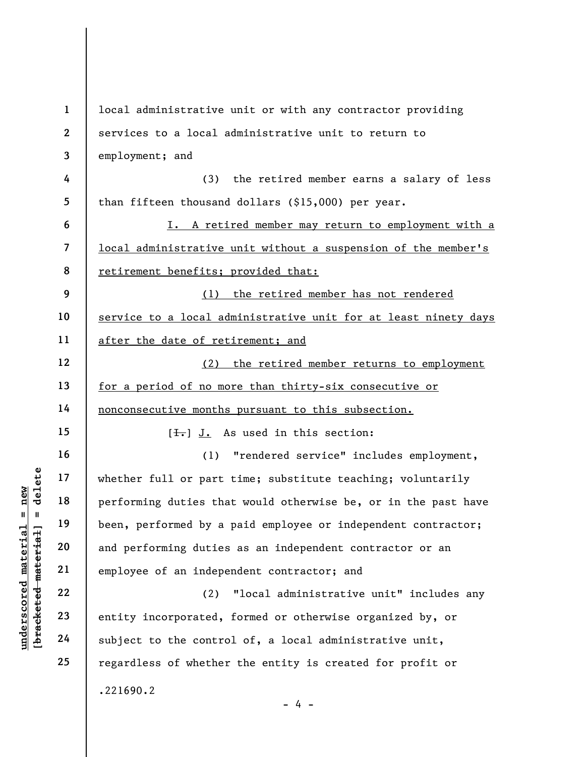underscored material = new [bracketed material] = delete 1 2 3 4 5 6 7 8 9 10 11 12 13 14 15 16 17 18 19 20 21 22 23 24 25 local administrative unit or with any contractor providing services to a local administrative unit to return to employment; and (3) the retired member earns a salary of less than fifteen thousand dollars (\$15,000) per year. I. A retired member may return to employment with a local administrative unit without a suspension of the member's retirement benefits; provided that: (1) the retired member has not rendered service to a local administrative unit for at least ninety days after the date of retirement; and (2) the retired member returns to employment for a period of no more than thirty-six consecutive or nonconsecutive months pursuant to this subsection.  $[\frac{1}{\sqrt{1}}]$  J. As used in this section: (1) "rendered service" includes employment, whether full or part time; substitute teaching; voluntarily performing duties that would otherwise be, or in the past have been, performed by a paid employee or independent contractor; and performing duties as an independent contractor or an employee of an independent contractor; and (2) "local administrative unit" includes any entity incorporated, formed or otherwise organized by, or subject to the control of, a local administrative unit, regardless of whether the entity is created for profit or .221690.2  $- 4 -$